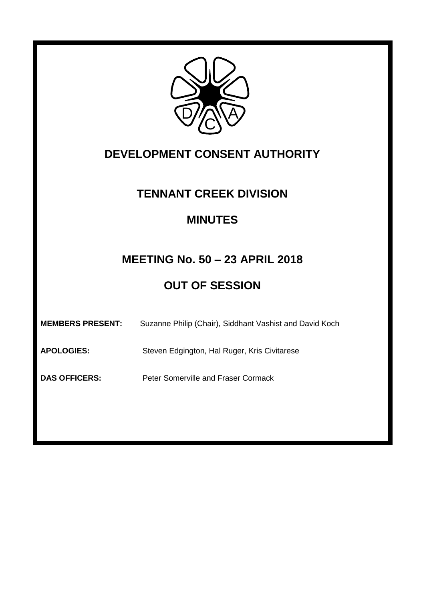

# **DEVELOPMENT CONSENT AUTHORITY**

## **TENNANT CREEK DIVISION**

## **MINUTES**

# **MEETING No. 50 – 23 APRIL 2018**

# **OUT OF SESSION**

| <b>MEMBERS PRESENT:</b> | Suzanne Philip (Chair), Siddhant Vashist and David Koch |
|-------------------------|---------------------------------------------------------|
| <b>APOLOGIES:</b>       | Steven Edgington, Hal Ruger, Kris Civitarese            |
| <b>DAS OFFICERS:</b>    | Peter Somerville and Fraser Cormack                     |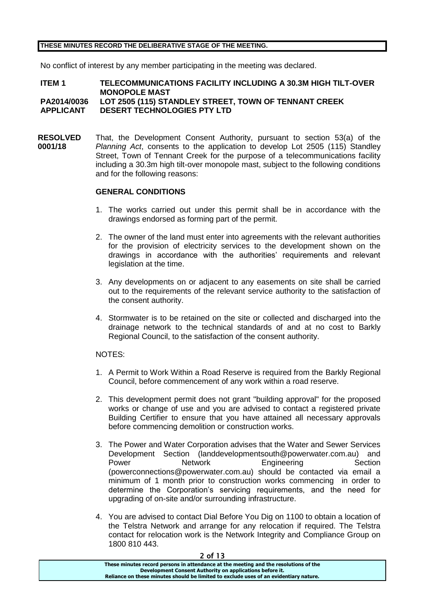## **THESE MINUTES RECORD THE DELIBERATIVE STAGE OF THE MEETING.**

No conflict of interest by any member participating in the meeting was declared.

#### **ITEM 1 TELECOMMUNICATIONS FACILITY INCLUDING A 30.3M HIGH TILT-OVER MONOPOLE MAST PA2014/0036 LOT 2505 (115) STANDLEY STREET, TOWN OF TENNANT CREEK APPLICANT DESERT TECHNOLOGIES PTY LTD**

**RESOLVED 0001/18** That, the Development Consent Authority, pursuant to section 53(a) of the *Planning Act*, consents to the application to develop Lot 2505 (115) Standley Street, Town of Tennant Creek for the purpose of a telecommunications facility including a 30.3m high tilt-over monopole mast, subject to the following conditions and for the following reasons:

## **GENERAL CONDITIONS**

- 1. The works carried out under this permit shall be in accordance with the drawings endorsed as forming part of the permit.
- 2. The owner of the land must enter into agreements with the relevant authorities for the provision of electricity services to the development shown on the drawings in accordance with the authorities' requirements and relevant legislation at the time.
- 3. Any developments on or adjacent to any easements on site shall be carried out to the requirements of the relevant service authority to the satisfaction of the consent authority.
- 4. Stormwater is to be retained on the site or collected and discharged into the drainage network to the technical standards of and at no cost to Barkly Regional Council, to the satisfaction of the consent authority.

#### NOTES:

- 1. A Permit to Work Within a Road Reserve is required from the Barkly Regional Council, before commencement of any work within a road reserve.
- 2. This development permit does not grant "building approval" for the proposed works or change of use and you are advised to contact a registered private Building Certifier to ensure that you have attained all necessary approvals before commencing demolition or construction works.
- 3. The Power and Water Corporation advises that the Water and Sewer Services Development Section (landdevelopmentsouth@powerwater.com.au) and Power **Network Engineering** Section (powerconnections@powerwater.com.au) should be contacted via email a minimum of 1 month prior to construction works commencing in order to determine the Corporation's servicing requirements, and the need for upgrading of on-site and/or surrounding infrastructure.
- 4. You are advised to contact Dial Before You Dig on 1100 to obtain a location of the Telstra Network and arrange for any relocation if required. The Telstra contact for relocation work is the Network Integrity and Compliance Group on 1800 810 443.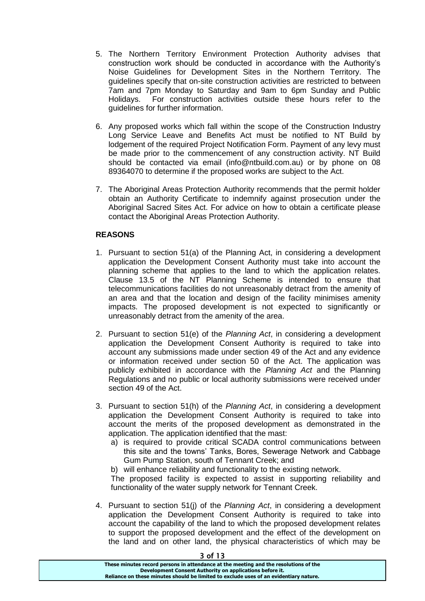- 5. The Northern Territory Environment Protection Authority advises that construction work should be conducted in accordance with the Authority's Noise Guidelines for Development Sites in the Northern Territory. The guidelines specify that on-site construction activities are restricted to between 7am and 7pm Monday to Saturday and 9am to 6pm Sunday and Public Holidays. For construction activities outside these hours refer to the guidelines for further information.
- 6. Any proposed works which fall within the scope of the Construction Industry Long Service Leave and Benefits Act must be notified to NT Build by lodgement of the required Project Notification Form. Payment of any levy must be made prior to the commencement of any construction activity. NT Build should be contacted via email (info@ntbuild.com.au) or by phone on 08 89364070 to determine if the proposed works are subject to the Act.
- 7. The Aboriginal Areas Protection Authority recommends that the permit holder obtain an Authority Certificate to indemnify against prosecution under the Aboriginal Sacred Sites Act. For advice on how to obtain a certificate please contact the Aboriginal Areas Protection Authority.

## **REASONS**

- 1. Pursuant to section 51(a) of the Planning Act, in considering a development application the Development Consent Authority must take into account the planning scheme that applies to the land to which the application relates. Clause 13.5 of the NT Planning Scheme is intended to ensure that telecommunications facilities do not unreasonably detract from the amenity of an area and that the location and design of the facility minimises amenity impacts. The proposed development is not expected to significantly or unreasonably detract from the amenity of the area.
- 2. Pursuant to section 51(e) of the *Planning Act*, in considering a development application the Development Consent Authority is required to take into account any submissions made under section 49 of the Act and any evidence or information received under section 50 of the Act. The application was publicly exhibited in accordance with the *Planning Act* and the Planning Regulations and no public or local authority submissions were received under section 49 of the Act.
- 3. Pursuant to section 51(h) of the *Planning Act*, in considering a development application the Development Consent Authority is required to take into account the merits of the proposed development as demonstrated in the application. The application identified that the mast:
	- a) is required to provide critical SCADA control communications between this site and the towns' Tanks, Bores, Sewerage Network and Cabbage Gum Pump Station, south of Tennant Creek; and
	- b) will enhance reliability and functionality to the existing network.

The proposed facility is expected to assist in supporting reliability and functionality of the water supply network for Tennant Creek.

4. Pursuant to section 51(j) of the *Planning Act*, in considering a development application the Development Consent Authority is required to take into account the capability of the land to which the proposed development relates to support the proposed development and the effect of the development on the land and on other land, the physical characteristics of which may be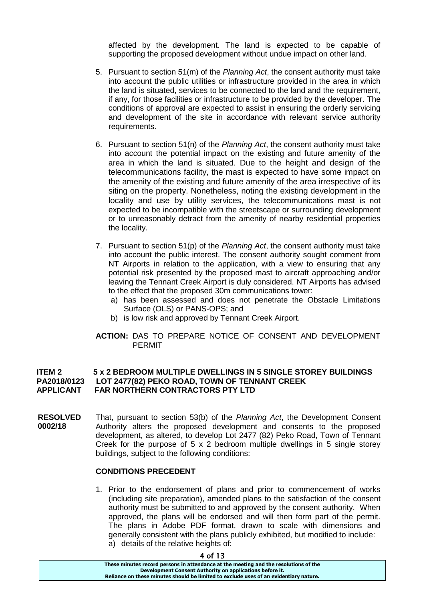affected by the development. The land is expected to be capable of supporting the proposed development without undue impact on other land.

- 5. Pursuant to section 51(m) of the *Planning Act*, the consent authority must take into account the public utilities or infrastructure provided in the area in which the land is situated, services to be connected to the land and the requirement, if any, for those facilities or infrastructure to be provided by the developer. The conditions of approval are expected to assist in ensuring the orderly servicing and development of the site in accordance with relevant service authority requirements.
- 6. Pursuant to section 51(n) of the *Planning Act*, the consent authority must take into account the potential impact on the existing and future amenity of the area in which the land is situated. Due to the height and design of the telecommunications facility, the mast is expected to have some impact on the amenity of the existing and future amenity of the area irrespective of its siting on the property. Nonetheless, noting the existing development in the locality and use by utility services, the telecommunications mast is not expected to be incompatible with the streetscape or surrounding development or to unreasonably detract from the amenity of nearby residential properties the locality.
- 7. Pursuant to section 51(p) of the *Planning Act*, the consent authority must take into account the public interest. The consent authority sought comment from NT Airports in relation to the application, with a view to ensuring that any potential risk presented by the proposed mast to aircraft approaching and/or leaving the Tennant Creek Airport is duly considered. NT Airports has advised to the effect that the proposed 30m communications tower:
	- a) has been assessed and does not penetrate the Obstacle Limitations Surface (OLS) or PANS-OPS; and
	- b) is low risk and approved by Tennant Creek Airport.

## **ACTION:** DAS TO PREPARE NOTICE OF CONSENT AND DEVELOPMENT PERMIT

## **ITEM 2 5 x 2 BEDROOM MULTIPLE DWELLINGS IN 5 SINGLE STOREY BUILDINGS PA2018/0123 LOT 2477(82) PEKO ROAD, TOWN OF TENNANT CREEK APPLICANT FAR NORTHERN CONTRACTORS PTY LTD**

**RESOLVED 0002/18** That, pursuant to section 53(b) of the *Planning Act*, the Development Consent Authority alters the proposed development and consents to the proposed development, as altered, to develop Lot 2477 (82) Peko Road, Town of Tennant Creek for the purpose of  $5 \times 2$  bedroom multiple dwellings in  $5$  single storey buildings, subject to the following conditions:

#### **CONDITIONS PRECEDENT**

1. Prior to the endorsement of plans and prior to commencement of works (including site preparation), amended plans to the satisfaction of the consent authority must be submitted to and approved by the consent authority. When approved, the plans will be endorsed and will then form part of the permit. The plans in Adobe PDF format, drawn to scale with dimensions and generally consistent with the plans publicly exhibited, but modified to include: a) details of the relative heights of:

**These minutes record persons in attendance at the meeting and the resolutions of the Development Consent Authority on applications before it. Reliance on these minutes should be limited to exclude uses of an evidentiary nature.**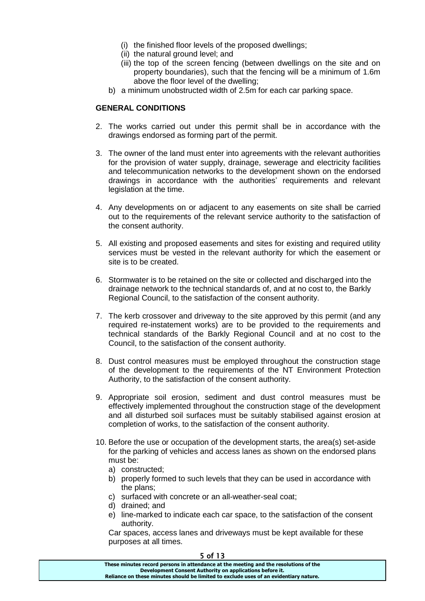- (i) the finished floor levels of the proposed dwellings;
- (ii) the natural ground level; and
- (iii) the top of the screen fencing (between dwellings on the site and on property boundaries), such that the fencing will be a minimum of 1.6m above the floor level of the dwelling;
- b) a minimum unobstructed width of 2.5m for each car parking space.

## **GENERAL CONDITIONS**

- 2. The works carried out under this permit shall be in accordance with the drawings endorsed as forming part of the permit.
- 3. The owner of the land must enter into agreements with the relevant authorities for the provision of water supply, drainage, sewerage and electricity facilities and telecommunication networks to the development shown on the endorsed drawings in accordance with the authorities' requirements and relevant legislation at the time.
- 4. Any developments on or adjacent to any easements on site shall be carried out to the requirements of the relevant service authority to the satisfaction of the consent authority.
- 5. All existing and proposed easements and sites for existing and required utility services must be vested in the relevant authority for which the easement or site is to be created.
- 6. Stormwater is to be retained on the site or collected and discharged into the drainage network to the technical standards of, and at no cost to, the Barkly Regional Council, to the satisfaction of the consent authority.
- 7. The kerb crossover and driveway to the site approved by this permit (and any required re-instatement works) are to be provided to the requirements and technical standards of the Barkly Regional Council and at no cost to the Council, to the satisfaction of the consent authority.
- 8. Dust control measures must be employed throughout the construction stage of the development to the requirements of the NT Environment Protection Authority, to the satisfaction of the consent authority.
- 9. Appropriate soil erosion, sediment and dust control measures must be effectively implemented throughout the construction stage of the development and all disturbed soil surfaces must be suitably stabilised against erosion at completion of works, to the satisfaction of the consent authority.
- 10. Before the use or occupation of the development starts, the area(s) set-aside for the parking of vehicles and access lanes as shown on the endorsed plans must be:
	- a) constructed;
	- b) properly formed to such levels that they can be used in accordance with the plans;
	- c) surfaced with concrete or an all-weather-seal coat;
	- d) drained; and
	- e) line-marked to indicate each car space, to the satisfaction of the consent authority.

Car spaces, access lanes and driveways must be kept available for these purposes at all times.

| J VI 1J                                                                               |
|---------------------------------------------------------------------------------------|
| These minutes record persons in attendance at the meeting and the resolutions of the  |
| Development Consent Authority on applications before it.                              |
| Reliance on these minutes should be limited to exclude uses of an evidentiary nature. |
|                                                                                       |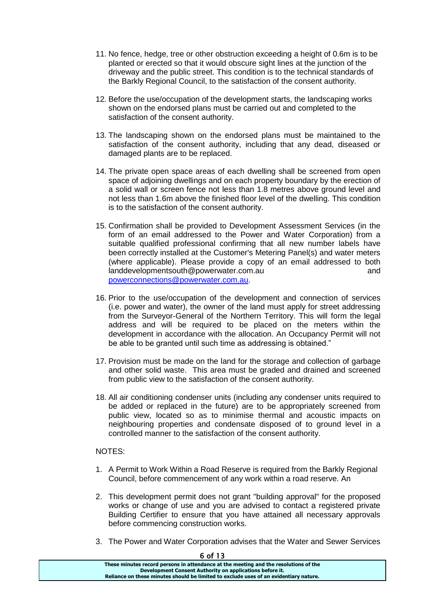- 11. No fence, hedge, tree or other obstruction exceeding a height of 0.6m is to be planted or erected so that it would obscure sight lines at the junction of the driveway and the public street. This condition is to the technical standards of the Barkly Regional Council, to the satisfaction of the consent authority.
- 12. Before the use/occupation of the development starts, the landscaping works shown on the endorsed plans must be carried out and completed to the satisfaction of the consent authority.
- 13. The landscaping shown on the endorsed plans must be maintained to the satisfaction of the consent authority, including that any dead, diseased or damaged plants are to be replaced.
- 14. The private open space areas of each dwelling shall be screened from open space of adjoining dwellings and on each property boundary by the erection of a solid wall or screen fence not less than 1.8 metres above ground level and not less than 1.6m above the finished floor level of the dwelling. This condition is to the satisfaction of the consent authority.
- 15. Confirmation shall be provided to Development Assessment Services (in the form of an email addressed to the Power and Water Corporation) from a suitable qualified professional confirming that all new number labels have been correctly installed at the Customer's Metering Panel(s) and water meters (where applicable). Please provide a copy of an email addressed to both landdevelopmentsouth@powerwater.com.au and [powerconnections@powerwater.com.au.](mailto:powerconnections@powerwater.com.au)
- 16. Prior to the use/occupation of the development and connection of services (i.e. power and water), the owner of the land must apply for street addressing from the Surveyor-General of the Northern Territory. This will form the legal address and will be required to be placed on the meters within the development in accordance with the allocation. An Occupancy Permit will not be able to be granted until such time as addressing is obtained."
- 17. Provision must be made on the land for the storage and collection of garbage and other solid waste. This area must be graded and drained and screened from public view to the satisfaction of the consent authority.
- 18. All air conditioning condenser units (including any condenser units required to be added or replaced in the future) are to be appropriately screened from public view, located so as to minimise thermal and acoustic impacts on neighbouring properties and condensate disposed of to ground level in a controlled manner to the satisfaction of the consent authority.

## NOTES:

- 1. A Permit to Work Within a Road Reserve is required from the Barkly Regional Council, before commencement of any work within a road reserve. An
- 2. This development permit does not grant "building approval" for the proposed works or change of use and you are advised to contact a registered private Building Certifier to ensure that you have attained all necessary approvals before commencing construction works.
- 3. The Power and Water Corporation advises that the Water and Sewer Services

| כו וט ס                                                                               |
|---------------------------------------------------------------------------------------|
| These minutes record persons in attendance at the meeting and the resolutions of the  |
| Development Consent Authority on applications before it.                              |
| Reliance on these minutes should be limited to exclude uses of an evidentiary nature. |
|                                                                                       |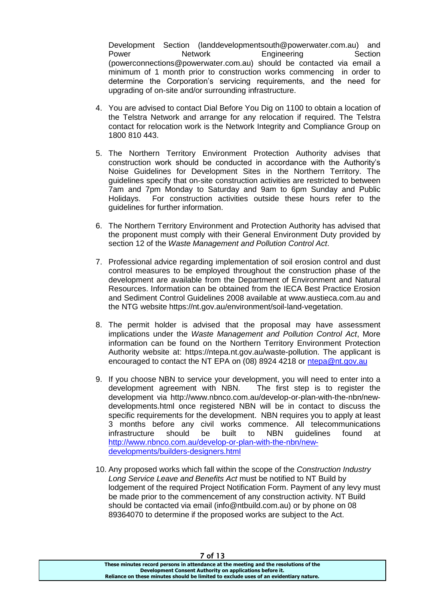Development Section (landdevelopmentsouth@powerwater.com.au) and Power **Network Engineering** Section (powerconnections@powerwater.com.au) should be contacted via email a minimum of 1 month prior to construction works commencing in order to determine the Corporation's servicing requirements, and the need for upgrading of on-site and/or surrounding infrastructure.

- 4. You are advised to contact Dial Before You Dig on 1100 to obtain a location of the Telstra Network and arrange for any relocation if required. The Telstra contact for relocation work is the Network Integrity and Compliance Group on 1800 810 443.
- 5. The Northern Territory Environment Protection Authority advises that construction work should be conducted in accordance with the Authority's Noise Guidelines for Development Sites in the Northern Territory. The guidelines specify that on-site construction activities are restricted to between 7am and 7pm Monday to Saturday and 9am to 6pm Sunday and Public Holidays. For construction activities outside these hours refer to the guidelines for further information.
- 6. The Northern Territory Environment and Protection Authority has advised that the proponent must comply with their General Environment Duty provided by section 12 of the *Waste Management and Pollution Control Act*.
- 7. Professional advice regarding implementation of soil erosion control and dust control measures to be employed throughout the construction phase of the development are available from the Department of Environment and Natural Resources. Information can be obtained from the IECA Best Practice Erosion and Sediment Control Guidelines 2008 available at www.austieca.com.au and the NTG website https://nt.gov.au/environment/soil-land-vegetation.
- 8. The permit holder is advised that the proposal may have assessment implications under the *Waste Management and Pollution Control Act*, More information can be found on the Northern Territory Environment Protection Authority website at: https://ntepa.nt.gov.au/waste-pollution. The applicant is encouraged to contact the NT EPA on (08) 8924 4218 or [ntepa@nt.gov.au](mailto:ntepa@nt.gov.au)
- 9. If you choose NBN to service your development, you will need to enter into a development agreement with NBN. The first step is to register the development via http://www.nbnco.com.au/develop-or-plan-with-the-nbn/newdevelopments.html once registered NBN will be in contact to discuss the specific requirements for the development. NBN requires you to apply at least 3 months before any civil works commence. All telecommunications infrastructure should be built to NBN guidelines found at [http://www.nbnco.com.au/develop-or-plan-with-the-nbn/new](http://www.nbnco.com.au/develop-or-plan-with-the-nbn/new-developments/builders-designers.html)[developments/builders-designers.html](http://www.nbnco.com.au/develop-or-plan-with-the-nbn/new-developments/builders-designers.html)
- 10. Any proposed works which fall within the scope of the *Construction Industry Long Service Leave and Benefits Act* must be notified to NT Build by lodgement of the required Project Notification Form. Payment of any levy must be made prior to the commencement of any construction activity. NT Build should be contacted via email (info@ntbuild.com.au) or by phone on 08 89364070 to determine if the proposed works are subject to the Act.

7 of 13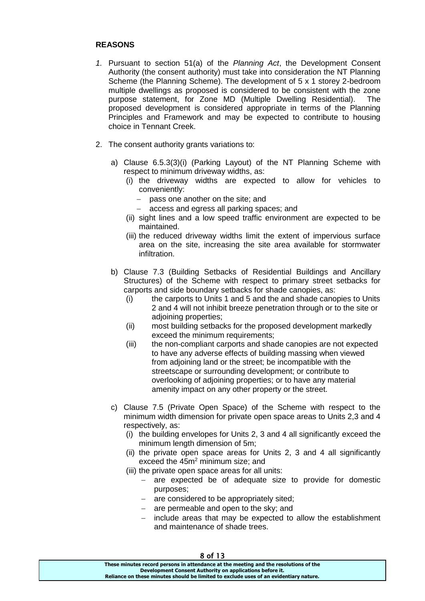## **REASONS**

- *1.* Pursuant to section 51(a) of the *Planning Act*, the Development Consent Authority (the consent authority) must take into consideration the NT Planning Scheme (the Planning Scheme). The development of 5 x 1 storey 2-bedroom multiple dwellings as proposed is considered to be consistent with the zone purpose statement, for Zone MD (Multiple Dwelling Residential). The proposed development is considered appropriate in terms of the Planning Principles and Framework and may be expected to contribute to housing choice in Tennant Creek.
- 2. The consent authority grants variations to:
	- a) Clause 6.5.3(3)(i) (Parking Layout) of the NT Planning Scheme with respect to minimum driveway widths, as:
		- (i) the driveway widths are expected to allow for vehicles to conveniently:
			- $-$  pass one another on the site; and
			- access and egress all parking spaces; and
		- (ii) sight lines and a low speed traffic environment are expected to be maintained.
		- (iii) the reduced driveway widths limit the extent of impervious surface area on the site, increasing the site area available for stormwater infiltration.
	- b) Clause 7.3 (Building Setbacks of Residential Buildings and Ancillary Structures) of the Scheme with respect to primary street setbacks for carports and side boundary setbacks for shade canopies, as:
		- (i) the carports to Units 1 and 5 and the and shade canopies to Units 2 and 4 will not inhibit breeze penetration through or to the site or adioining properties:
		- (ii) most building setbacks for the proposed development markedly exceed the minimum requirements;
		- (iii) the non-compliant carports and shade canopies are not expected to have any adverse effects of building massing when viewed from adjoining land or the street; be incompatible with the streetscape or surrounding development; or contribute to overlooking of adjoining properties; or to have any material amenity impact on any other property or the street.
	- c) Clause 7.5 (Private Open Space) of the Scheme with respect to the minimum width dimension for private open space areas to Units 2,3 and 4 respectively, as:
		- (i) the building envelopes for Units 2, 3 and 4 all significantly exceed the minimum length dimension of 5m;
		- (ii) the private open space areas for Units 2, 3 and 4 all significantly exceed the 45m<sup>2</sup> minimum size; and
		- (iii) the private open space areas for all units:
			- are expected be of adequate size to provide for domestic purposes;
			- $-$  are considered to be appropriately sited;
			- are permeable and open to the sky; and
			- include areas that may be expected to allow the establishment and maintenance of shade trees.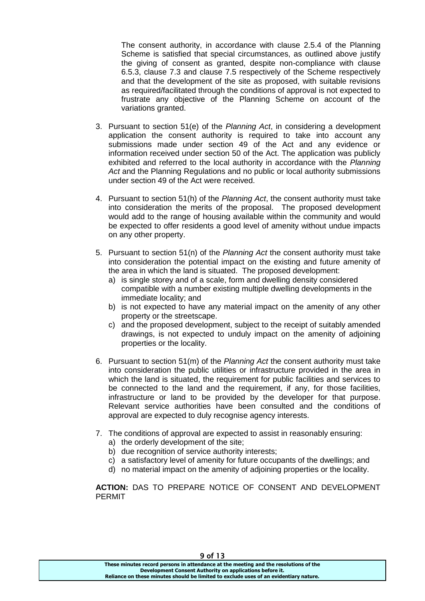The consent authority, in accordance with clause 2.5.4 of the Planning Scheme is satisfied that special circumstances, as outlined above justify the giving of consent as granted, despite non-compliance with clause 6.5.3, clause 7.3 and clause 7.5 respectively of the Scheme respectively and that the development of the site as proposed, with suitable revisions as required/facilitated through the conditions of approval is not expected to frustrate any objective of the Planning Scheme on account of the variations granted.

- 3. Pursuant to section 51(e) of the *Planning Act*, in considering a development application the consent authority is required to take into account any submissions made under section 49 of the Act and any evidence or information received under section 50 of the Act. The application was publicly exhibited and referred to the local authority in accordance with the *Planning Act* and the Planning Regulations and no public or local authority submissions under section 49 of the Act were received.
- 4. Pursuant to section 51(h) of the *Planning Act*, the consent authority must take into consideration the merits of the proposal. The proposed development would add to the range of housing available within the community and would be expected to offer residents a good level of amenity without undue impacts on any other property.
- 5. Pursuant to section 51(n) of the *Planning Act* the consent authority must take into consideration the potential impact on the existing and future amenity of the area in which the land is situated. The proposed development:
	- a) is single storey and of a scale, form and dwelling density considered compatible with a number existing multiple dwelling developments in the immediate locality; and
	- b) is not expected to have any material impact on the amenity of any other property or the streetscape.
	- c) and the proposed development, subject to the receipt of suitably amended drawings, is not expected to unduly impact on the amenity of adjoining properties or the locality.
- 6. Pursuant to section 51(m) of the *Planning Act* the consent authority must take into consideration the public utilities or infrastructure provided in the area in which the land is situated, the requirement for public facilities and services to be connected to the land and the requirement, if any, for those facilities, infrastructure or land to be provided by the developer for that purpose. Relevant service authorities have been consulted and the conditions of approval are expected to duly recognise agency interests.
- 7. The conditions of approval are expected to assist in reasonably ensuring:
	- a) the orderly development of the site;
	- b) due recognition of service authority interests;
	- c) a satisfactory level of amenity for future occupants of the dwellings; and
	- d) no material impact on the amenity of adjoining properties or the locality.

**ACTION:** DAS TO PREPARE NOTICE OF CONSENT AND DEVELOPMENT PERMIT

9 of 13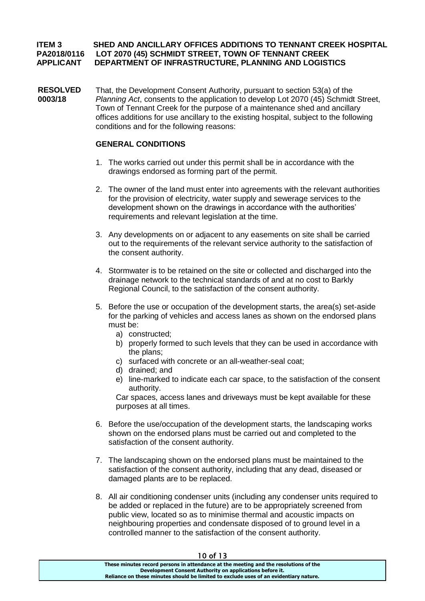## **ITEM 3 SHED AND ANCILLARY OFFICES ADDITIONS TO TENNANT CREEK HOSPITAL PA2018/0116 LOT 2070 (45) SCHMIDT STREET, TOWN OF TENNANT CREEK APPLICANT DEPARTMENT OF INFRASTRUCTURE, PLANNING AND LOGISTICS**

**RESOLVED 0003/18** That, the Development Consent Authority, pursuant to section 53(a) of the *Planning Act*, consents to the application to develop Lot 2070 (45) Schmidt Street, Town of Tennant Creek for the purpose of a maintenance shed and ancillary offices additions for use ancillary to the existing hospital, subject to the following conditions and for the following reasons:

## **GENERAL CONDITIONS**

- 1. The works carried out under this permit shall be in accordance with the drawings endorsed as forming part of the permit.
- 2. The owner of the land must enter into agreements with the relevant authorities for the provision of electricity, water supply and sewerage services to the development shown on the drawings in accordance with the authorities' requirements and relevant legislation at the time.
- 3. Any developments on or adjacent to any easements on site shall be carried out to the requirements of the relevant service authority to the satisfaction of the consent authority.
- 4. Stormwater is to be retained on the site or collected and discharged into the drainage network to the technical standards of and at no cost to Barkly Regional Council, to the satisfaction of the consent authority.
- 5. Before the use or occupation of the development starts, the area(s) set-aside for the parking of vehicles and access lanes as shown on the endorsed plans must be:
	- a) constructed;
	- b) properly formed to such levels that they can be used in accordance with the plans;
	- c) surfaced with concrete or an all-weather-seal coat;
	- d) drained; and
	- e) line-marked to indicate each car space, to the satisfaction of the consent authority.

Car spaces, access lanes and driveways must be kept available for these purposes at all times.

- 6. Before the use/occupation of the development starts, the landscaping works shown on the endorsed plans must be carried out and completed to the satisfaction of the consent authority.
- 7. The landscaping shown on the endorsed plans must be maintained to the satisfaction of the consent authority, including that any dead, diseased or damaged plants are to be replaced.
- 8. All air conditioning condenser units (including any condenser units required to be added or replaced in the future) are to be appropriately screened from public view, located so as to minimise thermal and acoustic impacts on neighbouring properties and condensate disposed of to ground level in a controlled manner to the satisfaction of the consent authority.

| .                                                                                     |  |
|---------------------------------------------------------------------------------------|--|
| These minutes record persons in attendance at the meeting and the resolutions of the  |  |
| Development Consent Authority on applications before it.                              |  |
| Reliance on these minutes should be limited to exclude uses of an evidentiary nature. |  |
|                                                                                       |  |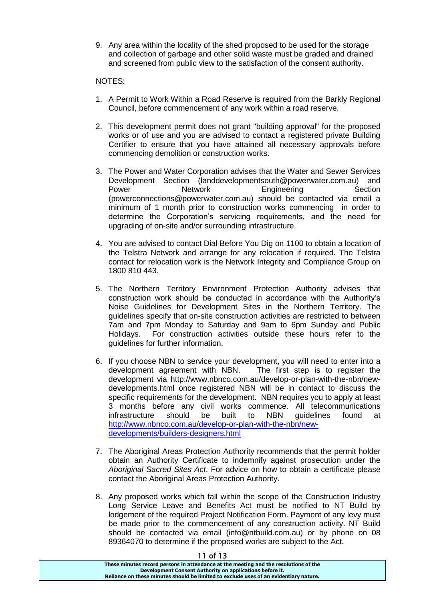9. Any area within the locality of the shed proposed to be used for the storage and collection of garbage and other solid waste must be graded and drained and screened from public view to the satisfaction of the consent authority.

## NOTES:

- 1. A Permit to Work Within a Road Reserve is required from the Barkly Regional Council, before commencement of any work within a road reserve.
- 2. This development permit does not grant "building approval" for the proposed works or of use and you are advised to contact a registered private Building Certifier to ensure that you have attained all necessary approvals before commencing demolition or construction works.
- 3. The Power and Water Corporation advises that the Water and Sewer Services Development Section (landdevelopmentsouth@powerwater.com.au) and Power **Network Engineering** Section (powerconnections@powerwater.com.au) should be contacted via email a minimum of 1 month prior to construction works commencing in order to determine the Corporation's servicing requirements, and the need for upgrading of on-site and/or surrounding infrastructure.
- 4. You are advised to contact Dial Before You Dig on 1100 to obtain a location of the Telstra Network and arrange for any relocation if required. The Telstra contact for relocation work is the Network Integrity and Compliance Group on 1800 810 443.
- 5. The Northern Territory Environment Protection Authority advises that construction work should be conducted in accordance with the Authority's Noise Guidelines for Development Sites in the Northern Territory. The guidelines specify that on-site construction activities are restricted to between 7am and 7pm Monday to Saturday and 9am to 6pm Sunday and Public Holidays. For construction activities outside these hours refer to the guidelines for further information.
- 6. If you choose NBN to service your development, you will need to enter into a development agreement with NBN. The first step is to register the development via http://www.nbnco.com.au/develop-or-plan-with-the-nbn/newdevelopments.html once registered NBN will be in contact to discuss the specific requirements for the development. NBN requires you to apply at least 3 months before any civil works commence. All telecommunications infrastructure should be built to NBN guidelines found at [http://www.nbnco.com.au/develop-or-plan-with-the-nbn/new](http://www.nbnco.com.au/develop-or-plan-with-the-nbn/new-developments/builders-designers.html)[developments/builders-designers.html](http://www.nbnco.com.au/develop-or-plan-with-the-nbn/new-developments/builders-designers.html)
- 7. The Aboriginal Areas Protection Authority recommends that the permit holder obtain an Authority Certificate to indemnify against prosecution under the *Aboriginal Sacred Sites Act*. For advice on how to obtain a certificate please contact the Aboriginal Areas Protection Authority.
- 8. Any proposed works which fall within the scope of the Construction Industry Long Service Leave and Benefits Act must be notified to NT Build by lodgement of the required Project Notification Form. Payment of any levy must be made prior to the commencement of any construction activity. NT Build should be contacted via email (info@ntbuild.com.au) or by phone on 08 89364070 to determine if the proposed works are subject to the Act.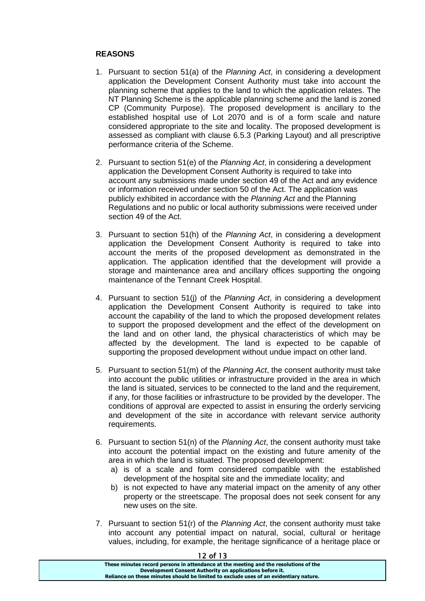## **REASONS**

- 1. Pursuant to section 51(a) of the *Planning Act*, in considering a development application the Development Consent Authority must take into account the planning scheme that applies to the land to which the application relates. The NT Planning Scheme is the applicable planning scheme and the land is zoned CP (Community Purpose). The proposed development is ancillary to the established hospital use of Lot 2070 and is of a form scale and nature considered appropriate to the site and locality. The proposed development is assessed as compliant with clause 6.5.3 (Parking Layout) and all prescriptive performance criteria of the Scheme.
- 2. Pursuant to section 51(e) of the *Planning Act*, in considering a development application the Development Consent Authority is required to take into account any submissions made under section 49 of the Act and any evidence or information received under section 50 of the Act. The application was publicly exhibited in accordance with the *Planning Act* and the Planning Regulations and no public or local authority submissions were received under section 49 of the Act.
- 3. Pursuant to section 51(h) of the *Planning Act*, in considering a development application the Development Consent Authority is required to take into account the merits of the proposed development as demonstrated in the application. The application identified that the development will provide a storage and maintenance area and ancillary offices supporting the ongoing maintenance of the Tennant Creek Hospital.
- 4. Pursuant to section 51(j) of the *Planning Act*, in considering a development application the Development Consent Authority is required to take into account the capability of the land to which the proposed development relates to support the proposed development and the effect of the development on the land and on other land, the physical characteristics of which may be affected by the development. The land is expected to be capable of supporting the proposed development without undue impact on other land.
- 5. Pursuant to section 51(m) of the *Planning Act*, the consent authority must take into account the public utilities or infrastructure provided in the area in which the land is situated, services to be connected to the land and the requirement, if any, for those facilities or infrastructure to be provided by the developer. The conditions of approval are expected to assist in ensuring the orderly servicing and development of the site in accordance with relevant service authority requirements.
- 6. Pursuant to section 51(n) of the *Planning Act*, the consent authority must take into account the potential impact on the existing and future amenity of the area in which the land is situated. The proposed development:
	- a) is of a scale and form considered compatible with the established development of the hospital site and the immediate locality; and
	- b) is not expected to have any material impact on the amenity of any other property or the streetscape. The proposal does not seek consent for any new uses on the site.
- 7. Pursuant to section 51(r) of the *Planning Act*, the consent authority must take into account any potential impact on natural, social, cultural or heritage values, including, for example, the heritage significance of a heritage place or

| 12 OI 13                                                                              |  |
|---------------------------------------------------------------------------------------|--|
| These minutes record persons in attendance at the meeting and the resolutions of the  |  |
| Development Consent Authority on applications before it.                              |  |
| Reliance on these minutes should be limited to exclude uses of an evidentiary nature. |  |
|                                                                                       |  |